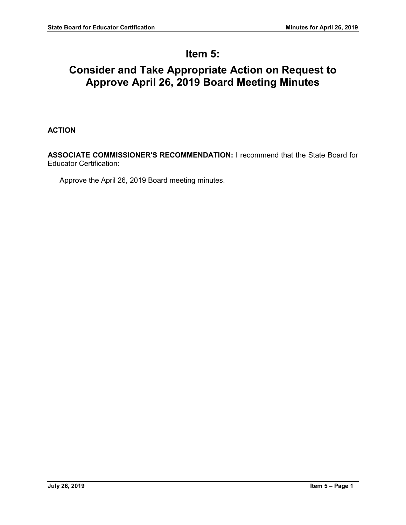# **Item 5:**

# **Consider and Take Appropriate Action on Request to Approve April 26, 2019 Board Meeting Minutes**

## **ACTION**

**ASSOCIATE COMMISSIONER'S RECOMMENDATION:** I recommend that the State Board for Educator Certification:

Approve the April 26, 2019 Board meeting minutes.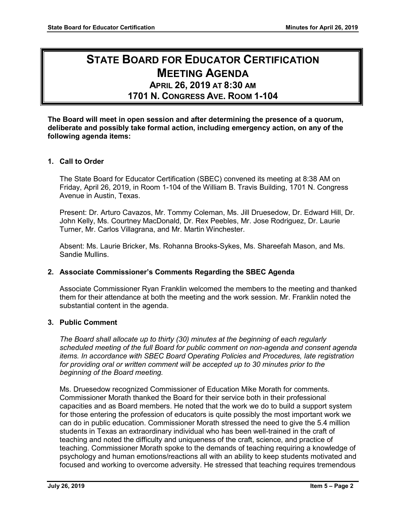# **STATE BOARD FOR EDUCATOR CERTIFICATION MEETING AGENDA**

## **APRIL 26, 2019 AT 8:30 AM 1701 N. CONGRESS AVE. ROOM 1-104**

## **The Board will meet in open session and after determining the presence of a quorum, deliberate and possibly take formal action, including emergency action, on any of the following agenda items:**

## **1. Call to Order**

The State Board for Educator Certification (SBEC) convened its meeting at 8:38 AM on Friday, April 26, 2019, in Room 1-104 of the William B. Travis Building, 1701 N. Congress Avenue in Austin, Texas.

Present: Dr. Arturo Cavazos, Mr. Tommy Coleman, Ms. Jill Druesedow, Dr. Edward Hill, Dr. John Kelly, Ms. Courtney MacDonald, Dr. Rex Peebles, Mr. Jose Rodriguez, Dr. Laurie Turner, Mr. Carlos Villagrana, and Mr. Martin Winchester.

Absent: Ms. Laurie Bricker, Ms. Rohanna Brooks-Sykes, Ms. Shareefah Mason, and Ms. Sandie Mullins.

## **2. Associate Commissioner's Comments Regarding the SBEC Agenda**

Associate Commissioner Ryan Franklin welcomed the members to the meeting and thanked them for their attendance at both the meeting and the work session. Mr. Franklin noted the substantial content in the agenda.

## **3. Public Comment**

*The Board shall allocate up to thirty (30) minutes at the beginning of each regularly scheduled meeting of the full Board for public comment on non-agenda and consent agenda items. In accordance with SBEC Board Operating Policies and Procedures, late registration for providing oral or written comment will be accepted up to 30 minutes prior to the beginning of the Board meeting.*

Ms. Druesedow recognized Commissioner of Education Mike Morath for comments. Commissioner Morath thanked the Board for their service both in their professional capacities and as Board members. He noted that the work we do to build a support system for those entering the profession of educators is quite possibly the most important work we can do in public education. Commissioner Morath stressed the need to give the 5.4 million students in Texas an extraordinary individual who has been well-trained in the craft of teaching and noted the difficulty and uniqueness of the craft, science, and practice of teaching. Commissioner Morath spoke to the demands of teaching requiring a knowledge of psychology and human emotions/reactions all with an ability to keep students motivated and focused and working to overcome adversity. He stressed that teaching requires tremendous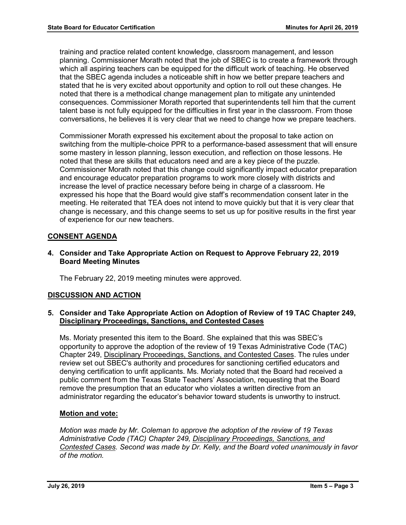training and practice related content knowledge, classroom management, and lesson planning. Commissioner Morath noted that the job of SBEC is to create a framework through which all aspiring teachers can be equipped for the difficult work of teaching. He observed that the SBEC agenda includes a noticeable shift in how we better prepare teachers and stated that he is very excited about opportunity and option to roll out these changes. He noted that there is a methodical change management plan to mitigate any unintended consequences. Commissioner Morath reported that superintendents tell him that the current talent base is not fully equipped for the difficulties in first year in the classroom. From those conversations, he believes it is very clear that we need to change how we prepare teachers.

Commissioner Morath expressed his excitement about the proposal to take action on switching from the multiple-choice PPR to a performance-based assessment that will ensure some mastery in lesson planning, lesson execution, and reflection on those lessons. He noted that these are skills that educators need and are a key piece of the puzzle. Commissioner Morath noted that this change could significantly impact educator preparation and encourage educator preparation programs to work more closely with districts and increase the level of practice necessary before being in charge of a classroom. He expressed his hope that the Board would give staff's recommendation consent later in the meeting. He reiterated that TEA does not intend to move quickly but that it is very clear that change is necessary, and this change seems to set us up for positive results in the first year of experience for our new teachers.

## **CONSENT AGENDA**

**4. Consider and Take Appropriate Action on Request to Approve February 22, 2019 Board Meeting Minutes**

The February 22, 2019 meeting minutes were approved.

## **DISCUSSION AND ACTION**

## **5. Consider and Take Appropriate Action on Adoption of Review of 19 TAC Chapter 249, Disciplinary Proceedings, Sanctions, and Contested Cases**

Ms. Moriaty presented this item to the Board. She explained that this was SBEC's opportunity to approve the adoption of the review of 19 Texas Administrative Code (TAC) Chapter 249, Disciplinary Proceedings, Sanctions, and Contested Cases. The rules under review set out SBEC's authority and procedures for sanctioning certified educators and denying certification to unfit applicants. Ms. Moriaty noted that the Board had received a public comment from the Texas State Teachers' Association, requesting that the Board remove the presumption that an educator who violates a written directive from an administrator regarding the educator's behavior toward students is unworthy to instruct.

## **Motion and vote:**

*Motion was made by Mr. Coleman to approve the adoption of the review of 19 Texas Administrative Code (TAC) Chapter 249, Disciplinary Proceedings, Sanctions, and Contested Cases. Second was made by Dr. Kelly, and the Board voted unanimously in favor of the motion.*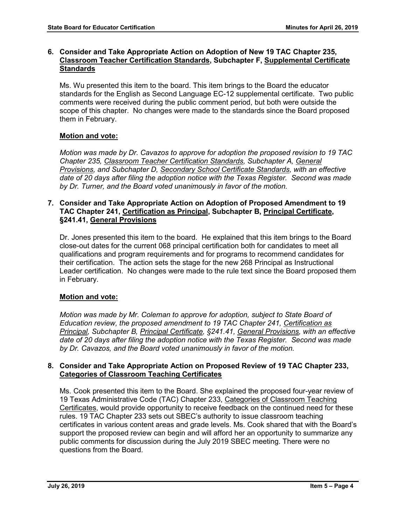## **6. Consider and Take Appropriate Action on Adoption of New 19 TAC Chapter 235, Classroom Teacher Certification Standards, Subchapter F, Supplemental Certificate Standards**

Ms. Wu presented this item to the board. This item brings to the Board the educator standards for the English as Second Language EC-12 supplemental certificate. Two public comments were received during the public comment period, but both were outside the scope of this chapter. No changes were made to the standards since the Board proposed them in February.

## **Motion and vote:**

*Motion was made by Dr. Cavazos to approve for adoption the proposed revision to 19 TAC Chapter 235, Classroom Teacher Certification Standards, Subchapter A, General Provisions, and Subchapter D, Secondary School Certificate Standards, with an effective date of 20 days after filing the adoption notice with the Texas Register. Second was made by Dr. Turner, and the Board voted unanimously in favor of the motion.*

## **7. Consider and Take Appropriate Action on Adoption of Proposed Amendment to 19 TAC Chapter 241, Certification as Principal, Subchapter B, Principal Certificate, §241.41, General Provisions**

Dr. Jones presented this item to the board. He explained that this item brings to the Board close-out dates for the current 068 principal certification both for candidates to meet all qualifications and program requirements and for programs to recommend candidates for their certification. The action sets the stage for the new 268 Principal as Instructional Leader certification. No changes were made to the rule text since the Board proposed them in February.

## **Motion and vote:**

*Motion was made by Mr. Coleman to approve for adoption, subject to State Board of Education review, the proposed amendment to 19 TAC Chapter 241, Certification as Principal, Subchapter B, Principal Certificate, §241.41, General Provisions, with an effective date of 20 days after filing the adoption notice with the Texas Register. Second was made by Dr. Cavazos, and the Board voted unanimously in favor of the motion.*

## **8. Consider and Take Appropriate Action on Proposed Review of 19 TAC Chapter 233, Categories of Classroom Teaching Certificates**

Ms. Cook presented this item to the Board. She explained the proposed four-year review of 19 Texas Administrative Code (TAC) Chapter 233, Categories of Classroom Teaching Certificates, would provide opportunity to receive feedback on the continued need for these rules. 19 TAC Chapter 233 sets out SBEC's authority to issue classroom teaching certificates in various content areas and grade levels. Ms. Cook shared that with the Board's support the proposed review can begin and will afford her an opportunity to summarize any public comments for discussion during the July 2019 SBEC meeting. There were no questions from the Board.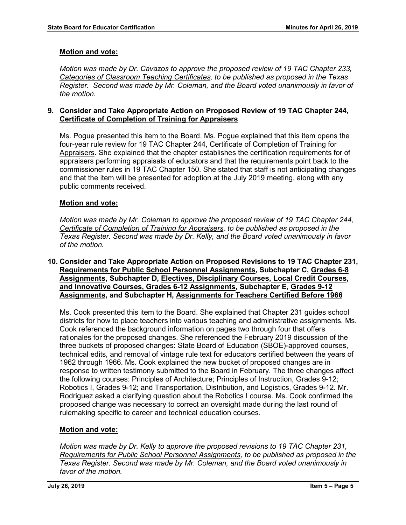## **Motion and vote:**

*Motion was made by Dr. Cavazos to approve the proposed review of 19 TAC Chapter 233, Categories of Classroom Teaching Certificates, to be published as proposed in the Texas Register. Second was made by Mr. Coleman, and the Board voted unanimously in favor of the motion.*

## **9. Consider and Take Appropriate Action on Proposed Review of 19 TAC Chapter 244, Certificate of Completion of Training for Appraisers**

Ms. Pogue presented this item to the Board. Ms. Pogue explained that this item opens the four-year rule review for 19 TAC Chapter 244, Certificate of Completion of Training for Appraisers. She explained that the chapter establishes the certification requirements for of appraisers performing appraisals of educators and that the requirements point back to the commissioner rules in 19 TAC Chapter 150. She stated that staff is not anticipating changes and that the item will be presented for adoption at the July 2019 meeting, along with any public comments received.

## **Motion and vote:**

*Motion was made by Mr. Coleman to approve the proposed review of 19 TAC Chapter 244, Certificate of Completion of Training for Appraisers, to be published as proposed in the Texas Register. Second was made by Dr. Kelly, and the Board voted unanimously in favor of the motion.*

## **10. Consider and Take Appropriate Action on Proposed Revisions to 19 TAC Chapter 231, Requirements for Public School Personnel Assignments, Subchapter C, Grades 6-8 Assignments, Subchapter D, Electives, Disciplinary Courses, Local Credit Courses, and Innovative Courses, Grades 6-12 Assignments, Subchapter E, Grades 9-12 Assignments, and Subchapter H, Assignments for Teachers Certified Before 1966**

Ms. Cook presented this item to the Board. She explained that Chapter 231 guides school districts for how to place teachers into various teaching and administrative assignments. Ms. Cook referenced the background information on pages two through four that offers rationales for the proposed changes. She referenced the February 2019 discussion of the three buckets of proposed changes: State Board of Education (SBOE)-approved courses, technical edits, and removal of vintage rule text for educators certified between the years of 1962 through 1966. Ms. Cook explained the new bucket of proposed changes are in response to written testimony submitted to the Board in February. The three changes affect the following courses: Principles of Architecture; Principles of Instruction, Grades 9-12; Robotics I, Grades 9-12; and Transportation, Distribution, and Logistics, Grades 9-12. Mr. Rodriguez asked a clarifying question about the Robotics I course. Ms. Cook confirmed the proposed change was necessary to correct an oversight made during the last round of rulemaking specific to career and technical education courses.

## **Motion and vote:**

*Motion was made by Dr. Kelly to approve the proposed revisions to 19 TAC Chapter 231, Requirements for Public School Personnel Assignments, to be published as proposed in the Texas Register. Second was made by Mr. Coleman, and the Board voted unanimously in favor of the motion.*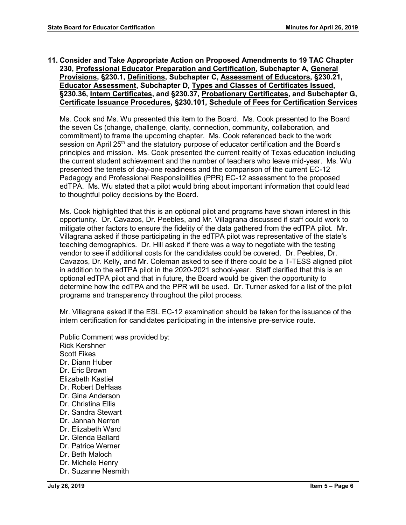**11. Consider and Take Appropriate Action on Proposed Amendments to 19 TAC Chapter 230, Professional Educator Preparation and Certification, Subchapter A, General Provisions, §230.1, Definitions, Subchapter C, Assessment of Educators, §230.21, Educator Assessment, Subchapter D, Types and Classes of Certificates Issued, §230.36, Intern Certificates, and §230.37, Probationary Certificates, and Subchapter G, Certificate Issuance Procedures, §230.101, Schedule of Fees for Certification Services**

Ms. Cook and Ms. Wu presented this item to the Board. Ms. Cook presented to the Board the seven Cs (change, challenge, clarity, connection, community, collaboration, and commitment) to frame the upcoming chapter. Ms. Cook referenced back to the work session on April 25<sup>th</sup> and the statutory purpose of educator certification and the Board's principles and mission. Ms. Cook presented the current reality of Texas education including the current student achievement and the number of teachers who leave mid-year. Ms. Wu presented the tenets of day-one readiness and the comparison of the current EC-12 Pedagogy and Professional Responsibilities (PPR) EC-12 assessment to the proposed edTPA. Ms. Wu stated that a pilot would bring about important information that could lead to thoughtful policy decisions by the Board.

Ms. Cook highlighted that this is an optional pilot and programs have shown interest in this opportunity. Dr. Cavazos, Dr. Peebles, and Mr. Villagrana discussed if staff could work to mitigate other factors to ensure the fidelity of the data gathered from the edTPA pilot. Mr. Villagrana asked if those participating in the edTPA pilot was representative of the state's teaching demographics. Dr. Hill asked if there was a way to negotiate with the testing vendor to see if additional costs for the candidates could be covered. Dr. Peebles, Dr. Cavazos, Dr. Kelly, and Mr. Coleman asked to see if there could be a T-TESS aligned pilot in addition to the edTPA pilot in the 2020-2021 school-year. Staff clarified that this is an optional edTPA pilot and that in future, the Board would be given the opportunity to determine how the edTPA and the PPR will be used. Dr. Turner asked for a list of the pilot programs and transparency throughout the pilot process.

Mr. Villagrana asked if the ESL EC-12 examination should be taken for the issuance of the intern certification for candidates participating in the intensive pre-service route.

Public Comment was provided by: Rick Kershner Scott Fikes Dr. Diann Huber Dr. Eric Brown Elizabeth Kastiel Dr. Robert DeHaas Dr. Gina Anderson Dr. Christina Ellis Dr. Sandra Stewart Dr. Jannah Nerren Dr. Elizabeth Ward Dr. Glenda Ballard Dr. Patrice Werner Dr. Beth Maloch Dr. Michele Henry Dr. Suzanne Nesmith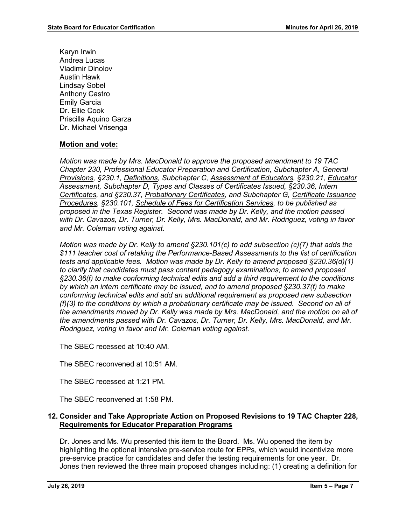Karyn Irwin Andrea Lucas Vladimir Dinolov Austin Hawk Lindsay Sobel Anthony Castro Emily Garcia Dr. Ellie Cook Priscilla Aquino Garza Dr. Michael Vrisenga

## **Motion and vote:**

*Motion was made by Mrs. MacDonald to approve the proposed amendment to 19 TAC Chapter 230, Professional Educator Preparation and Certification, Subchapter A, General Provisions, §230.1, Definitions, Subchapter C, Assessment of Educators, §230.21, Educator Assessment, Subchapter D, Types and Classes of Certificates Issued, §230.36, Intern Certificates, and §230.37, Probationary Certificates, and Subchapter G, Certificate Issuance Procedures, §230.101, Schedule of Fees for Certification Services, to be published as proposed in the Texas Register. Second was made by Dr. Kelly, and the motion passed with Dr. Cavazos, Dr. Turner, Dr. Kelly, Mrs. MacDonald, and Mr. Rodriguez, voting in favor and Mr. Coleman voting against.*

*Motion was made by Dr. Kelly to amend §230.101(c) to add subsection (c)(7) that adds the \$111 teacher cost of retaking the Performance-Based Assessments to the list of certification tests and applicable fees. Motion was made by Dr. Kelly to amend proposed §230.36(d)(1) to clarify that candidates must pass content pedagogy examinations, to amend proposed §230.36(f) to make conforming technical edits and add a third requirement to the conditions by which an intern certificate may be issued, and to amend proposed §230.37(f) to make conforming technical edits and add an additional requirement as proposed new subsection (f)(3) to the conditions by which a probationary certificate may be issued. Second on all of the amendments moved by Dr. Kelly was made by Mrs. MacDonald, and the motion on all of the amendments passed with Dr. Cavazos, Dr. Turner, Dr. Kelly, Mrs. MacDonald, and Mr. Rodriguez, voting in favor and Mr. Coleman voting against.*

The SBEC recessed at 10:40 AM.

The SBEC reconvened at 10:51 AM.

The SBEC recessed at 1:21 PM.

The SBEC reconvened at 1:58 PM.

## **12. Consider and Take Appropriate Action on Proposed Revisions to 19 TAC Chapter 228, Requirements for Educator Preparation Programs**

Dr. Jones and Ms. Wu presented this item to the Board. Ms. Wu opened the item by highlighting the optional intensive pre-service route for EPPs, which would incentivize more pre-service practice for candidates and defer the testing requirements for one year. Dr. Jones then reviewed the three main proposed changes including: (1) creating a definition for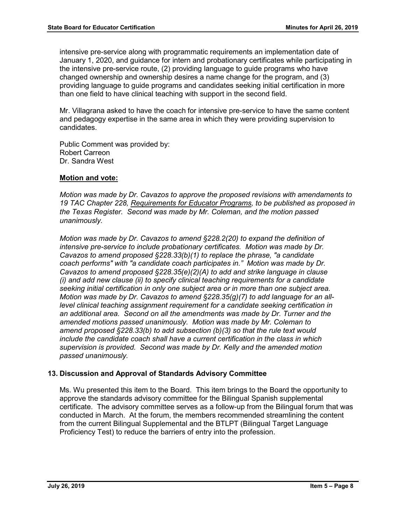intensive pre-service along with programmatic requirements an implementation date of January 1, 2020, and guidance for intern and probationary certificates while participating in the intensive pre-service route, (2) providing language to guide programs who have changed ownership and ownership desires a name change for the program, and (3) providing language to guide programs and candidates seeking initial certification in more than one field to have clinical teaching with support in the second field.

Mr. Villagrana asked to have the coach for intensive pre-service to have the same content and pedagogy expertise in the same area in which they were providing supervision to candidates.

Public Comment was provided by: Robert Carreon Dr. Sandra West

## **Motion and vote:**

*Motion was made by Dr. Cavazos to approve the proposed revisions with amendaments to 19 TAC Chapter 228, Requirements for Educator Programs, to be published as proposed in the Texas Register. Second was made by Mr. Coleman, and the motion passed unanimously.* 

*Motion was made by Dr. Cavazos to amend §228.2(20) to expand the definition of intensive pre-service to include probationary certificates. Motion was made by Dr. Cavazos to amend proposed §228.33(b)(1) to replace the phrase, "a candidate coach performs" with "a candidate coach participates in." Motion was made by Dr. Cavazos to amend proposed §228.35(e)(2)(A) to add and strike language in clause (i) and add new clause (ii) to specify clinical teaching requirements for a candidate seeking initial certification in only one subject area or in more than one subject area. Motion was made by Dr. Cavazos to amend §228.35(g)(7) to add language for an alllevel clinical teaching assignment requirement for a candidate seeking certification in an additional area. Second on all the amendments was made by Dr. Turner and the amended motions passed unanimously. Motion was made by Mr. Coleman to amend proposed §228.33(b) to add subsection (b)(3) so that the rule text would include the candidate coach shall have a current certification in the class in which supervision is provided. Second was made by Dr. Kelly and the amended motion passed unanimously.* 

## **13. Discussion and Approval of Standards Advisory Committee**

Ms. Wu presented this item to the Board. This item brings to the Board the opportunity to approve the standards advisory committee for the Bilingual Spanish supplemental certificate. The advisory committee serves as a follow-up from the Bilingual forum that was conducted in March. At the forum, the members recommended streamlining the content from the current Bilingual Supplemental and the BTLPT (Bilingual Target Language Proficiency Test) to reduce the barriers of entry into the profession.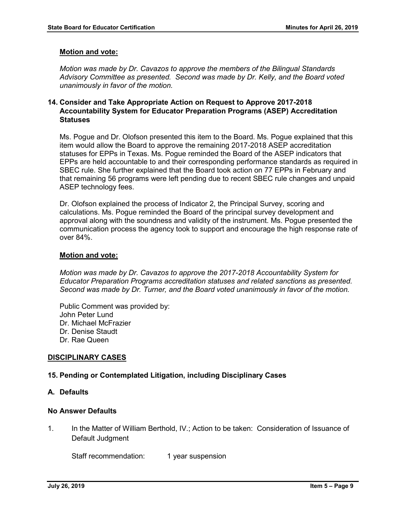#### **Motion and vote:**

*Motion was made by Dr. Cavazos to approve the members of the Bilingual Standards Advisory Committee as presented. Second was made by Dr. Kelly, and the Board voted unanimously in favor of the motion.*

## **14. Consider and Take Appropriate Action on Request to Approve 2017-2018 Accountability System for Educator Preparation Programs (ASEP) Accreditation Statuses**

Ms. Pogue and Dr. Olofson presented this item to the Board. Ms. Pogue explained that this item would allow the Board to approve the remaining 2017-2018 ASEP accreditation statuses for EPPs in Texas. Ms. Pogue reminded the Board of the ASEP indicators that EPPs are held accountable to and their corresponding performance standards as required in SBEC rule. She further explained that the Board took action on 77 EPPs in February and that remaining 56 programs were left pending due to recent SBEC rule changes and unpaid ASEP technology fees.

Dr. Olofson explained the process of Indicator 2, the Principal Survey, scoring and calculations. Ms. Pogue reminded the Board of the principal survey development and approval along with the soundness and validity of the instrument. Ms. Pogue presented the communication process the agency took to support and encourage the high response rate of over 84%.

#### **Motion and vote:**

*Motion was made by Dr. Cavazos to approve the 2017-2018 Accountability System for Educator Preparation Programs accreditation statuses and related sanctions as presented. Second was made by Dr. Turner, and the Board voted unanimously in favor of the motion.*

Public Comment was provided by: John Peter Lund Dr. Michael McFrazier Dr. Denise Staudt Dr. Rae Queen

#### **DISCIPLINARY CASES**

#### **15. Pending or Contemplated Litigation, including Disciplinary Cases**

#### **A. Defaults**

#### **No Answer Defaults**

1. In the Matter of William Berthold, IV.; Action to be taken: Consideration of Issuance of Default Judgment

Staff recommendation: 1 year suspension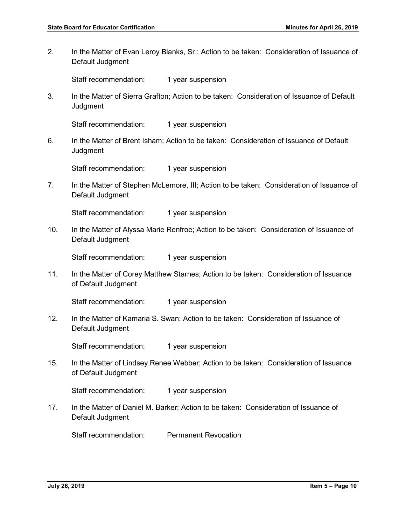2. In the Matter of Evan Leroy Blanks, Sr.; Action to be taken: Consideration of Issuance of Default Judgment

Staff recommendation: 1 year suspension

3. In the Matter of Sierra Grafton; Action to be taken: Consideration of Issuance of Default **Judgment** 

Staff recommendation: 1 year suspension

6. In the Matter of Brent Isham; Action to be taken: Consideration of Issuance of Default **Judgment** 

Staff recommendation: 1 year suspension

7. In the Matter of Stephen McLemore, III; Action to be taken: Consideration of Issuance of Default Judgment

Staff recommendation: 1 year suspension

10. In the Matter of Alyssa Marie Renfroe; Action to be taken: Consideration of Issuance of Default Judgment

Staff recommendation: 1 year suspension

11. In the Matter of Corey Matthew Starnes; Action to be taken: Consideration of Issuance of Default Judgment

Staff recommendation: 1 year suspension

12. In the Matter of Kamaria S. Swan; Action to be taken: Consideration of Issuance of Default Judgment

Staff recommendation: 1 year suspension

15. In the Matter of Lindsey Renee Webber; Action to be taken: Consideration of Issuance of Default Judgment

Staff recommendation: 1 year suspension

17. In the Matter of Daniel M. Barker; Action to be taken: Consideration of Issuance of Default Judgment

Staff recommendation: Permanent Revocation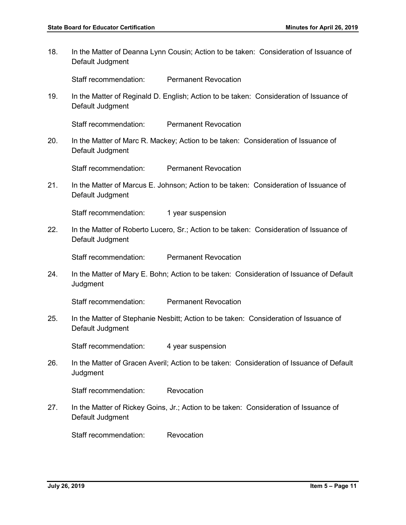18. In the Matter of Deanna Lynn Cousin; Action to be taken: Consideration of Issuance of Default Judgment

Staff recommendation: Permanent Revocation

19. In the Matter of Reginald D. English; Action to be taken: Consideration of Issuance of Default Judgment

Staff recommendation: Permanent Revocation

20. In the Matter of Marc R. Mackey; Action to be taken: Consideration of Issuance of Default Judgment

Staff recommendation: Permanent Revocation

21. In the Matter of Marcus E. Johnson; Action to be taken: Consideration of Issuance of Default Judgment

Staff recommendation: 1 year suspension

22. In the Matter of Roberto Lucero, Sr.; Action to be taken: Consideration of Issuance of Default Judgment

Staff recommendation: Permanent Revocation

24. In the Matter of Mary E. Bohn; Action to be taken: Consideration of Issuance of Default **Judgment** 

Staff recommendation: Permanent Revocation

25. In the Matter of Stephanie Nesbitt; Action to be taken: Consideration of Issuance of Default Judgment

Staff recommendation: 4 year suspension

26. In the Matter of Gracen Averil; Action to be taken: Consideration of Issuance of Default **Judgment** 

Staff recommendation: Revocation

27. In the Matter of Rickey Goins, Jr.; Action to be taken: Consideration of Issuance of Default Judgment

Staff recommendation: Revocation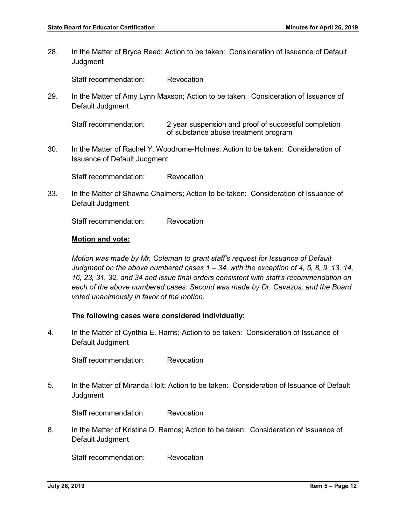28. In the Matter of Bryce Reed; Action to be taken: Consideration of Issuance of Default **Judgment** 

Staff recommendation: Revocation

29. In the Matter of Amy Lynn Maxson; Action to be taken: Consideration of Issuance of Default Judgment

Staff recommendation: 2 year suspension and proof of successful completion of substance abuse treatment program

30. In the Matter of Rachel Y. Woodrome-Holmes; Action to be taken: Consideration of Issuance of Default Judgment

Staff recommendation: Revocation

33. In the Matter of Shawna Chalmers; Action to be taken: Consideration of Issuance of Default Judgment

Staff recommendation: Revocation

## **Motion and vote:**

*Motion was made by Mr. Coleman to grant staff's request for Issuance of Default Judgment on the above numbered cases 1 – 34, with the exception of 4, 5, 8, 9, 13, 14, 16, 23, 31, 32, and 34 and issue final orders consistent with staff's recommendation on each of the above numbered cases. Second was made by Dr. Cavazos, and the Board voted unanimously in favor of the motion.* 

## **The following cases were considered individually:**

4. In the Matter of Cynthia E. Harris; Action to be taken: Consideration of Issuance of Default Judgment

Staff recommendation: Revocation

5. In the Matter of Miranda Holt; Action to be taken: Consideration of Issuance of Default **Judgment** 

Staff recommendation: Revocation

8. In the Matter of Kristina D. Ramos; Action to be taken: Consideration of Issuance of Default Judgment

Staff recommendation: Revocation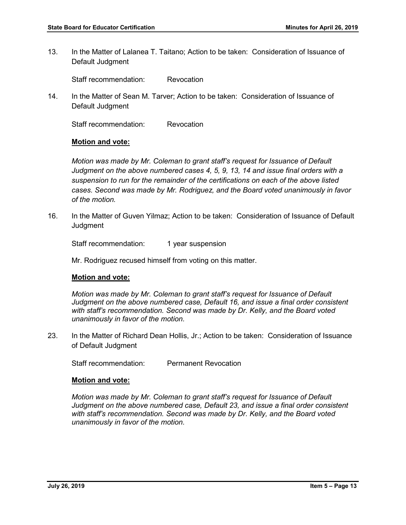13. In the Matter of Lalanea T. Taitano; Action to be taken: Consideration of Issuance of Default Judgment

Staff recommendation: Revocation

14. In the Matter of Sean M. Tarver; Action to be taken: Consideration of Issuance of Default Judgment

Staff recommendation: Revocation

## **Motion and vote:**

*Motion was made by Mr. Coleman to grant staff's request for Issuance of Default Judgment on the above numbered cases 4, 5, 9, 13, 14 and issue final orders with a suspension to run for the remainder of the certifications on each of the above listed cases. Second was made by Mr. Rodriguez, and the Board voted unanimously in favor of the motion.* 

16. In the Matter of Guven Yilmaz; Action to be taken: Consideration of Issuance of Default **Judgment** 

Staff recommendation: 1 year suspension

Mr. Rodriguez recused himself from voting on this matter.

## **Motion and vote:**

*Motion was made by Mr. Coleman to grant staff's request for Issuance of Default*  Judgment on the above numbered case, Default 16, and issue a final order consistent *with staff's recommendation. Second was made by Dr. Kelly, and the Board voted unanimously in favor of the motion.* 

23. In the Matter of Richard Dean Hollis, Jr.; Action to be taken: Consideration of Issuance of Default Judgment

Staff recommendation: Permanent Revocation

#### **Motion and vote:**

*Motion was made by Mr. Coleman to grant staff's request for Issuance of Default Judgment on the above numbered case, Default 23, and issue a final order consistent with staff's recommendation. Second was made by Dr. Kelly, and the Board voted unanimously in favor of the motion.*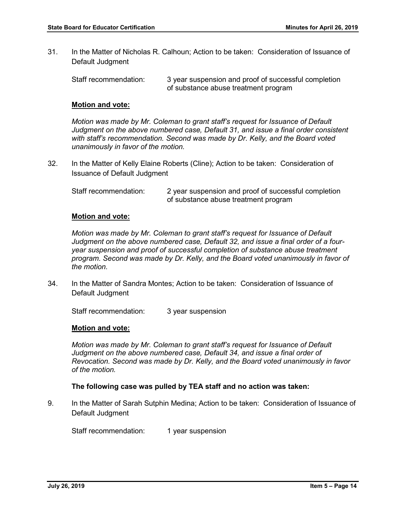31. In the Matter of Nicholas R. Calhoun; Action to be taken: Consideration of Issuance of Default Judgment

Staff recommendation: 3 year suspension and proof of successful completion of substance abuse treatment program

#### **Motion and vote:**

*Motion was made by Mr. Coleman to grant staff's request for Issuance of Default*  Judgment on the above numbered case, Default 31, and issue a final order consistent *with staff's recommendation. Second was made by Dr. Kelly, and the Board voted unanimously in favor of the motion.* 

32. In the Matter of Kelly Elaine Roberts (Cline); Action to be taken: Consideration of Issuance of Default Judgment

Staff recommendation: 2 year suspension and proof of successful completion of substance abuse treatment program

#### **Motion and vote:**

*Motion was made by Mr. Coleman to grant staff's request for Issuance of Default Judgment on the above numbered case, Default 32, and issue a final order of a fouryear suspension and proof of successful completion of substance abuse treatment program. Second was made by Dr. Kelly, and the Board voted unanimously in favor of the motion.* 

34. In the Matter of Sandra Montes; Action to be taken: Consideration of Issuance of Default Judgment

Staff recommendation: 3 year suspension

#### **Motion and vote:**

*Motion was made by Mr. Coleman to grant staff's request for Issuance of Default*  Judgment on the above numbered case, Default 34, and issue a final order of *Revocation. Second was made by Dr. Kelly, and the Board voted unanimously in favor of the motion.*

#### **The following case was pulled by TEA staff and no action was taken:**

9. In the Matter of Sarah Sutphin Medina; Action to be taken: Consideration of Issuance of Default Judgment

Staff recommendation: 1 year suspension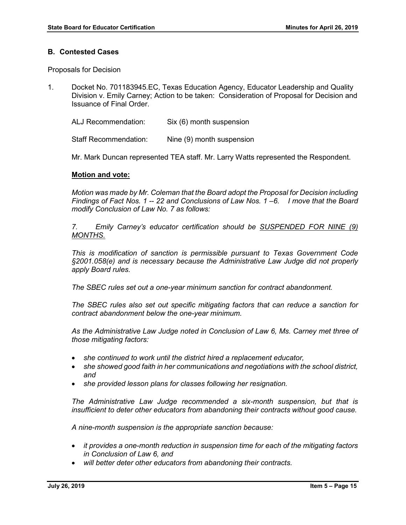#### **B. Contested Cases**

Proposals for Decision

1. Docket No. 701183945.EC, Texas Education Agency, Educator Leadership and Quality Division v. Emily Carney; Action to be taken: Consideration of Proposal for Decision and Issuance of Final Order.

ALJ Recommendation: Six (6) month suspension

Staff Recommendation: Nine (9) month suspension

Mr. Mark Duncan represented TEA staff. Mr. Larry Watts represented the Respondent.

## **Motion and vote:**

*Motion was made by Mr. Coleman that the Board adopt the Proposal for Decision including Findings of Fact Nos. 1 -- 22 and Conclusions of Law Nos. 1 –6. I move that the Board modify Conclusion of Law No. 7 as follows:*

*7. Emily Carney's educator certification should be SUSPENDED FOR NINE (9) MONTHS.*

*This is modification of sanction is permissible pursuant to Texas Government Code §2001.058(e) and is necessary because the Administrative Law Judge did not properly apply Board rules.* 

*The SBEC rules set out a one-year minimum sanction for contract abandonment.*

*The SBEC rules also set out specific mitigating factors that can reduce a sanction for contract abandonment below the one-year minimum.* 

*As the Administrative Law Judge noted in Conclusion of Law 6, Ms. Carney met three of those mitigating factors:*

- *she continued to work until the district hired a replacement educator,*
- *she showed good faith in her communications and negotiations with the school district, and*
- *she provided lesson plans for classes following her resignation.*

*The Administrative Law Judge recommended a six-month suspension, but that is insufficient to deter other educators from abandoning their contracts without good cause.* 

*A nine-month suspension is the appropriate sanction because:*

- *it provides a one-month reduction in suspension time for each of the mitigating factors in Conclusion of Law 6, and*
- *will better deter other educators from abandoning their contracts.*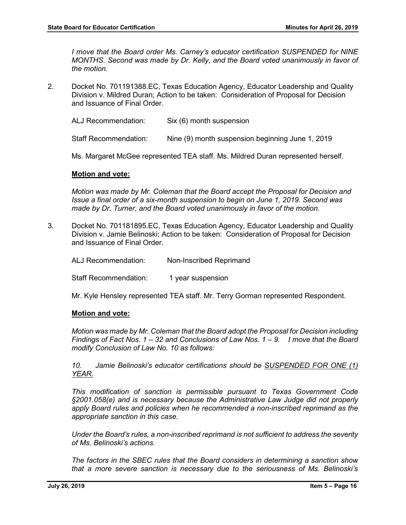*I move that the Board order Ms. Carney's educator certification SUSPENDED for NINE MONTHS. Second was made by Dr. Kelly, and the Board voted unanimously in favor of the motion.* 

2. Docket No. 701191388.EC, Texas Education Agency, Educator Leadership and Quality Division v. Mildred Duran; Action to be taken: Consideration of Proposal for Decision and Issuance of Final Order.

ALJ Recommendation: Six (6) month suspension

Staff Recommendation: Nine (9) month suspension beginning June 1, 2019

Ms. Margaret McGee represented TEA staff. Ms. Mildred Duran represented herself.

#### **Motion and vote:**

*Motion was made by Mr. Coleman that the Board accept the Proposal for Decision and Issue a final order of a six-month suspension to begin on June 1, 2019. Second was made by Dr. Turner, and the Board voted unanimously in favor of the motion.* 

3. Docket No. 701181895.EC, Texas Education Agency, Educator Leadership and Quality Division v. Jamie Belinoski; Action to be taken: Consideration of Proposal for Decision and Issuance of Final Order.

ALJ Recommendation: Non-Inscribed Reprimand

Staff Recommendation: 1 year suspension

Mr. Kyle Hensley represented TEA staff. Mr. Terry Gorman represented Respondent.

#### **Motion and vote:**

*Motion was made by Mr. Coleman that the Board adopt the Proposal for Decision including Findings of Fact Nos. 1 – 32 and Conclusions of Law Nos. 1 – 9. I move that the Board modify Conclusion of Law No. 10 as follows:*

*10. Jamie Belinoski's educator certifications should be SUSPENDED FOR ONE (1) YEAR.*

*This modification of sanction is permissible pursuant to Texas Government Code §2001.058(e) and is necessary because the Administrative Law Judge did not properly apply Board rules and policies when he recommended a non-inscribed reprimand as the appropriate sanction in this case.* 

*Under the Board's rules, a non-inscribed reprimand is not sufficient to address the severity of Ms. Belinoski's actions.* 

*The factors in the SBEC rules that the Board considers in determining a sanction show that a more severe sanction is necessary due to the seriousness of Ms. Belinoski's*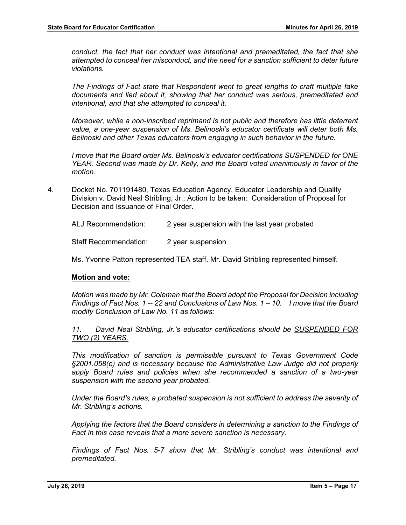*conduct, the fact that her conduct was intentional and premeditated, the fact that she attempted to conceal her misconduct, and the need for a sanction sufficient to deter future violations.* 

*The Findings of Fact state that Respondent went to great lengths to craft multiple fake documents and lied about it, showing that her conduct was serious, premeditated and intentional, and that she attempted to conceal it.* 

*Moreover, while a non-inscribed reprimand is not public and therefore has little deterrent value, a one-year suspension of Ms. Belinoski's educator certificate will deter both Ms. Belinoski and other Texas educators from engaging in such behavior in the future.*

*I move that the Board order Ms. Belinoski's educator certifications SUSPENDED for ONE YEAR. Second was made by Dr. Kelly, and the Board voted unanimously in favor of the motion.* 

4. Docket No. 701191480, Texas Education Agency, Educator Leadership and Quality Division v. David Neal Stribling, Jr.; Action to be taken: Consideration of Proposal for Decision and Issuance of Final Order.

ALJ Recommendation: 2 year suspension with the last year probated

Staff Recommendation: 2 year suspension

Ms. Yvonne Patton represented TEA staff. Mr. David Stribling represented himself.

#### **Motion and vote:**

*Motion was made by Mr. Coleman that the Board adopt the Proposal for Decision including Findings of Fact Nos. 1 -- 22 and Conclusions of Law Nos. 1 – 10. I move that the Board modify Conclusion of Law No. 11 as follows:*

*11. David Neal Stribling, Jr.'s educator certifications should be SUSPENDED FOR TWO (2) YEARS.*

*This modification of sanction is permissible pursuant to Texas Government Code §2001.058(e) and is necessary because the Administrative Law Judge did not properly apply Board rules and policies when she recommended a sanction of a two-year suspension with the second year probated.* 

*Under the Board's rules, a probated suspension is not sufficient to address the severity of Mr. Stribling's actions.* 

*Applying the factors that the Board considers in determining a sanction to the Findings of Fact in this case reveals that a more severe sanction is necessary.* 

*Findings of Fact Nos. 5-7 show that Mr. Stribling's conduct was intentional and premeditated.*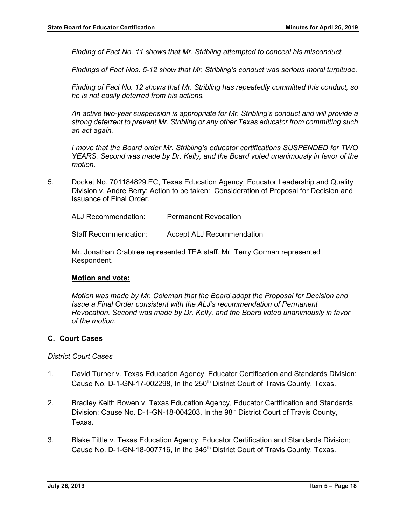*Finding of Fact No. 11 shows that Mr. Stribling attempted to conceal his misconduct.* 

*Findings of Fact Nos. 5-12 show that Mr. Stribling's conduct was serious moral turpitude.* 

*Finding of Fact No. 12 shows that Mr. Stribling has repeatedly committed this conduct, so he is not easily deterred from his actions.* 

*An active two-year suspension is appropriate for Mr. Stribling's conduct and will provide a strong deterrent to prevent Mr. Stribling or any other Texas educator from committing such an act again.*

*I move that the Board order Mr. Stribling's educator certifications SUSPENDED for TWO YEARS. Second was made by Dr. Kelly, and the Board voted unanimously in favor of the motion.* 

5. Docket No. 701184829.EC, Texas Education Agency, Educator Leadership and Quality Division v. Andre Berry; Action to be taken: Consideration of Proposal for Decision and Issuance of Final Order.

ALJ Recommendation: Permanent Revocation

Staff Recommendation: Accept ALJ Recommendation

Mr. Jonathan Crabtree represented TEA staff. Mr. Terry Gorman represented Respondent.

#### **Motion and vote:**

*Motion was made by Mr. Coleman that the Board adopt the Proposal for Decision and Issue a Final Order consistent with the ALJ's recommendation of Permanent Revocation. Second was made by Dr. Kelly, and the Board voted unanimously in favor of the motion.* 

## **C. Court Cases**

#### *District Court Cases*

- 1. David Turner v. Texas Education Agency, Educator Certification and Standards Division; Cause No. D-1-GN-17-002298, In the 250<sup>th</sup> District Court of Travis County, Texas.
- 2. Bradley Keith Bowen v. Texas Education Agency, Educator Certification and Standards Division; Cause No. D-1-GN-18-004203, In the 98<sup>th</sup> District Court of Travis County, Texas.
- 3. Blake Tittle v. Texas Education Agency, Educator Certification and Standards Division; Cause No. D-1-GN-18-007716, In the 345<sup>th</sup> District Court of Travis County, Texas.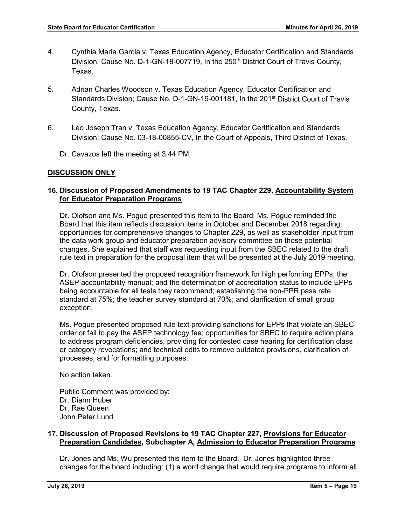- 4. Cynthia Maria Garcia v. Texas Education Agency, Educator Certification and Standards Division; Cause No. D-1-GN-18-007719, In the 250<sup>th</sup> District Court of Travis County, Texas.
- 5. Adrian Charles Woodson v. Texas Education Agency, Educator Certification and Standards Division; Cause No. D-1-GN-19-001181, In the 201<sup>st</sup> District Court of Travis County, Texas.
- 6. Leo Joseph Tran v. Texas Education Agency, Educator Certification and Standards Division; Cause No. 03-18-00855-CV, In the Court of Appeals, Third District of Texas.

Dr. Cavazos left the meeting at 3:44 PM.

## **DISCUSSION ONLY**

## **16. Discussion of Proposed Amendments to 19 TAC Chapter 229, Accountability System for Educator Preparation Programs**

Dr. Olofson and Ms. Pogue presented this item to the Board. Ms. Pogue reminded the Board that this item reflects discussion items in October and December 2018 regarding opportunities for comprehensive changes to Chapter 229, as well as stakeholder input from the data work group and educator preparation advisory committee on those potential changes. She explained that staff was requesting input from the SBEC related to the draft rule text in preparation for the proposal item that will be presented at the July 2019 meeting.

Dr. Olofson presented the proposed recognition framework for high performing EPPs; the ASEP accountability manual; and the determination of accreditation status to include EPPs being accountable for all tests they recommend; establishing the non-PPR pass rate standard at 75%; the teacher survey standard at 70%; and clarification of small group exception.

Ms. Pogue presented proposed rule text providing sanctions for EPPs that violate an SBEC order or fail to pay the ASEP technology fee; opportunities for SBEC to require action plans to address program deficiencies, providing for contested case hearing for certification class or category revocations; and technical edits to remove outdated provisions, clarification of processes, and for formatting purposes.

No action taken.

Public Comment was provided by: Dr. Diann Huber Dr. Rae Queen John Peter Lund

## **17. Discussion of Proposed Revisions to 19 TAC Chapter 227, Provisions for Educator Preparation Candidates, Subchapter A, Admission to Educator Preparation Programs**

Dr. Jones and Ms. Wu presented this item to the Board. Dr. Jones highlighted three changes for the board including: (1) a word change that would require programs to inform all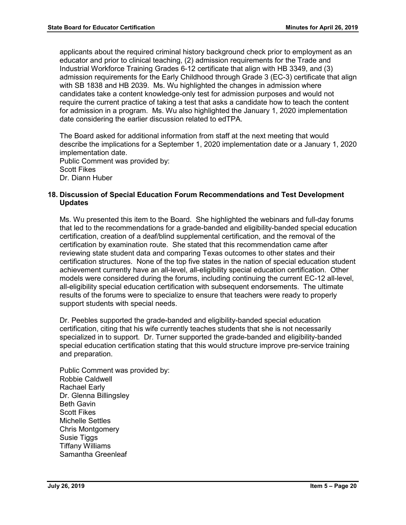applicants about the required criminal history background check prior to employment as an educator and prior to clinical teaching, (2) admission requirements for the Trade and Industrial Workforce Training Grades 6-12 certificate that align with HB 3349, and (3) admission requirements for the Early Childhood through Grade 3 (EC-3) certificate that align with SB 1838 and HB 2039. Ms. Wu highlighted the changes in admission where candidates take a content knowledge-only test for admission purposes and would not require the current practice of taking a test that asks a candidate how to teach the content for admission in a program. Ms. Wu also highlighted the January 1, 2020 implementation date considering the earlier discussion related to edTPA.

The Board asked for additional information from staff at the next meeting that would describe the implications for a September 1, 2020 implementation date or a January 1, 2020 implementation date.

Public Comment was provided by: Scott Fikes Dr. Diann Huber

## **18. Discussion of Special Education Forum Recommendations and Test Development Updates**

Ms. Wu presented this item to the Board. She highlighted the webinars and full-day forums that led to the recommendations for a grade-banded and eligibility-banded special education certification, creation of a deaf/blind supplemental certification, and the removal of the certification by examination route. She stated that this recommendation came after reviewing state student data and comparing Texas outcomes to other states and their certification structures. None of the top five states in the nation of special education student achievement currently have an all-level, all-eligibility special education certification. Other models were considered during the forums, including continuing the current EC-12 all-level, all-eligibility special education certification with subsequent endorsements. The ultimate results of the forums were to specialize to ensure that teachers were ready to properly support students with special needs.

Dr. Peebles supported the grade-banded and eligibility-banded special education certification, citing that his wife currently teaches students that she is not necessarily specialized in to support. Dr. Turner supported the grade-banded and eligibility-banded special education certification stating that this would structure improve pre-service training and preparation.

Public Comment was provided by: Robbie Caldwell Rachael Early Dr. Glenna Billingsley Beth Gavin Scott Fikes Michelle Settles Chris Montgomery Susie Tiggs Tiffany Williams Samantha Greenleaf